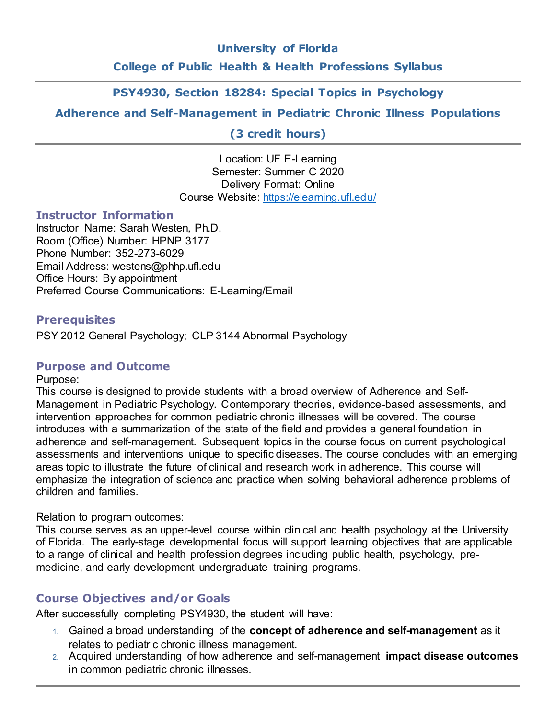## **University of Florida**

## **College of Public Health & Health Professions Syllabus**

# **PSY4930, Section 18284: Special Topics in Psychology**

# **Adherence and Self-Management in Pediatric Chronic Illness Populations**

**(3 credit hours)**

Location: UF E-Learning Semester: Summer C 2020 Delivery Format: Online Course Website: https://elearning.ufl.edu/

### **Instructor Information**

Instructor Name: Sarah Westen, Ph.D. Room (Office) Number: HPNP 3177 Phone Number: 352-273-6029 Email Address: westens@phhp.ufl.edu Office Hours: By appointment Preferred Course Communications: E-Learning/Email

## **Prerequisites**

PSY 2012 General Psychology; CLP 3144 Abnormal Psychology

## **Purpose and Outcome**

Purpose:

This course is designed to provide students with a broad overview of Adherence and Self-Management in Pediatric Psychology. Contemporary theories, evidence-based assessments, and intervention approaches for common pediatric chronic illnesses will be covered. The course introduces with a summarization of the state of the field and provides a general foundation in adherence and self-management. Subsequent topics in the course focus on current psychological assessments and interventions unique to specific diseases. The course concludes with an emerging areas topic to illustrate the future of clinical and research work in adherence. This course will emphasize the integration of science and practice when solving behavioral adherence problems of children and families.

Relation to program outcomes:

This course serves as an upper-level course within clinical and health psychology at the University of Florida. The early-stage developmental focus will support learning objectives that are applicable to a range of clinical and health profession degrees including public health, psychology, premedicine, and early development undergraduate training programs.

## **Course Objectives and/or Goals**

After successfully completing PSY4930, the student will have:

- 1. Gained a broad understanding of the **concept of adherence and self-management** as it relates to pediatric chronic illness management.
- 2. Acquired understanding of how adherence and self-management **impact disease outcomes** in common pediatric chronic illnesses.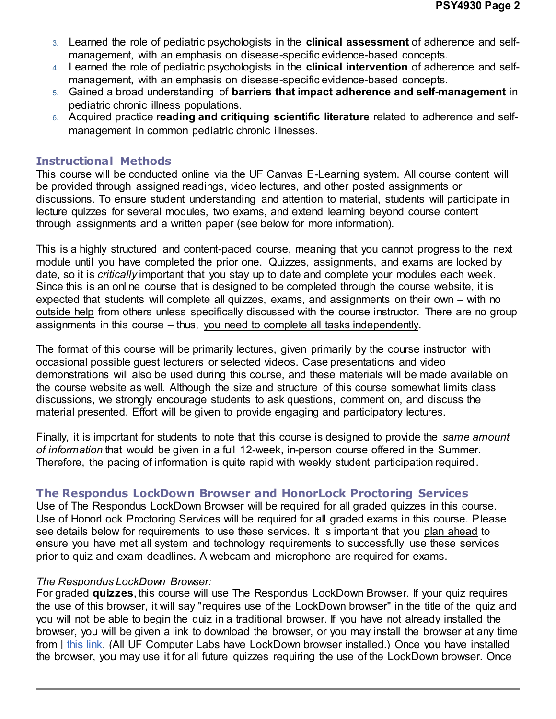- 3. Learned the role of pediatric psychologists in the **clinical assessment** of adherence and selfmanagement, with an emphasis on disease-specific evidence-based concepts.
- 4. Learned the role of pediatric psychologists in the **clinical intervention** of adherence and selfmanagement, with an emphasis on disease-specific evidence-based concepts.
- 5. Gained a broad understanding of **barriers that impact adherence and self-management** in pediatric chronic illness populations.
- 6. Acquired practice **reading and critiquing scientific literature** related to adherence and selfmanagement in common pediatric chronic illnesses.

## **Instructional Methods**

This course will be conducted online via the UF Canvas E-Learning system. All course content will be provided through assigned readings, video lectures, and other posted assignments or discussions. To ensure student understanding and attention to material, students will participate in lecture quizzes for several modules, two exams, and extend learning beyond course content through assignments and a written paper (see below for more information).

This is a highly structured and content-paced course, meaning that you cannot progress to the next module until you have completed the prior one. Quizzes, assignments, and exams are locked by date, so it is *critically* important that you stay up to date and complete your modules each week. Since this is an online course that is designed to be completed through the course website, it is expected that students will complete all quizzes, exams, and assignments on their own – with no outside help from others unless specifically discussed with the course instructor. There are no group assignments in this course – thus, you need to complete all tasks independently.

The format of this course will be primarily lectures, given primarily by the course instructor with occasional possible guest lecturers or selected videos. Case presentations and video demonstrations will also be used during this course, and these materials will be made available on the course website as well. Although the size and structure of this course somewhat limits class discussions, we strongly encourage students to ask questions, comment on, and discuss the material presented. Effort will be given to provide engaging and participatory lectures.

Finally, it is important for students to note that this course is designed to provide the *same amount of information* that would be given in a full 12-week, in-person course offered in the Summer. Therefore, the pacing of information is quite rapid with weekly student participation required.

# **The Respondus LockDown Browser and HonorLock Proctoring Services**

Use of The Respondus LockDown Browser will be required for all graded quizzes in this course. Use of HonorLock Proctoring Services will be required for all graded exams in this course. Please see details below for requirements to use these services. It is important that you plan ahead to ensure you have met all system and technology requirements to successfully use these services prior to quiz and exam deadlines. A webcam and microphone are required for exams.

### *The Respondus LockDown Browser:*

For graded **quizzes**, this course will use The Respondus LockDown Browser. If your quiz requires the use of this browser, it will say "requires use of the LockDown browser" in the title of the quiz and you will not be able to begin the quiz in a traditional browser. If you have not already installed the browser, you will be given a link to download the browser, or you may install the browser at any time from | this link. (All UF Computer Labs have LockDown browser installed.) Once you have installed the browser, you may use it for all future quizzes requiring the use of the LockDown browser. Once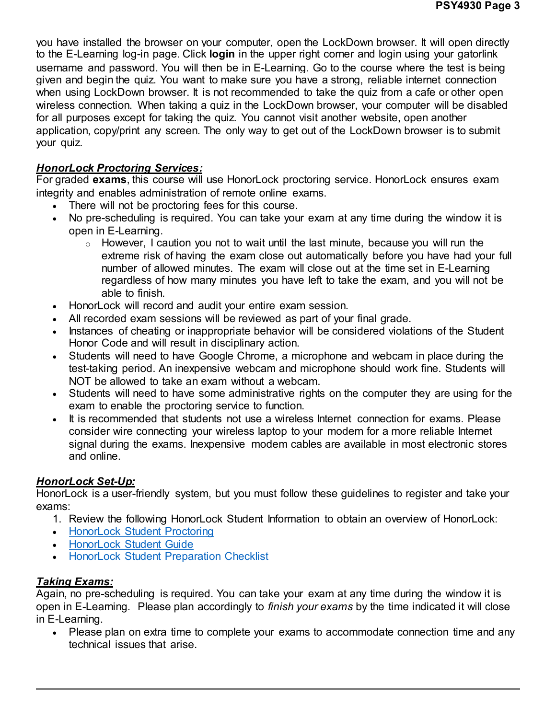you have installed the browser on your computer, open the LockDown browser. It will open directly to the E-Learning log-in page. Click **login** in the upper right corner and login using your gatorlink username and password. You will then be in E-Learning. Go to the course where the test is being given and begin the quiz. You want to make sure you have a strong, reliable internet connection when using LockDown browser. It is not recommended to take the quiz from a cafe or other open wireless connection. When taking a quiz in the LockDown browser, your computer will be disabled for all purposes except for taking the quiz. You cannot visit another website, open another application, copy/print any screen. The only way to get out of the LockDown browser is to submit your quiz.

# *HonorLock Proctoring Services:*

For graded **exams**, this course will use HonorLock proctoring service. HonorLock ensures exam integrity and enables administration of remote online exams.

- There will not be proctoring fees for this course.
- No pre-scheduling is required. You can take your exam at any time during the window it is open in E-Learning.
	- $\circ$  However, I caution you not to wait until the last minute, because you will run the extreme risk of having the exam close out automatically before you have had your full number of allowed minutes. The exam will close out at the time set in E-Learning regardless of how many minutes you have left to take the exam, and you will not be able to finish.
- HonorLock will record and audit your entire exam session.
- All recorded exam sessions will be reviewed as part of your final grade.
- Instances of cheating or inappropriate behavior will be considered violations of the Student Honor Code and will result in disciplinary action.
- Students will need to have Google Chrome, a microphone and webcam in place during the test-taking period. An inexpensive webcam and microphone should work fine. Students will NOT be allowed to take an exam without a webcam.
- Students will need to have some administrative rights on the computer they are using for the exam to enable the proctoring service to function.
- It is recommended that students not use a wireless Internet connection for exams. Please consider wire connecting your wireless laptop to your modem for a more reliable Internet signal during the exams. Inexpensive modem cables are available in most electronic stores and online.

# *HonorLock Set-Up:*

HonorLock is a user-friendly system, but you must follow these guidelines to register and take your exams:

- 1. Review the following HonorLock Student Information to obtain an overview of HonorLock:
- HonorLock Student Proctoring
- HonorLock Student Guide
- HonorLock Student Preparation Checklist

# *Taking Exams:*

Again, no pre-scheduling is required. You can take your exam at any time during the window it is open in E-Learning. Please plan accordingly to *finish your exams* by the time indicated it will close in E-Learning.

• Please plan on extra time to complete your exams to accommodate connection time and any technical issues that arise.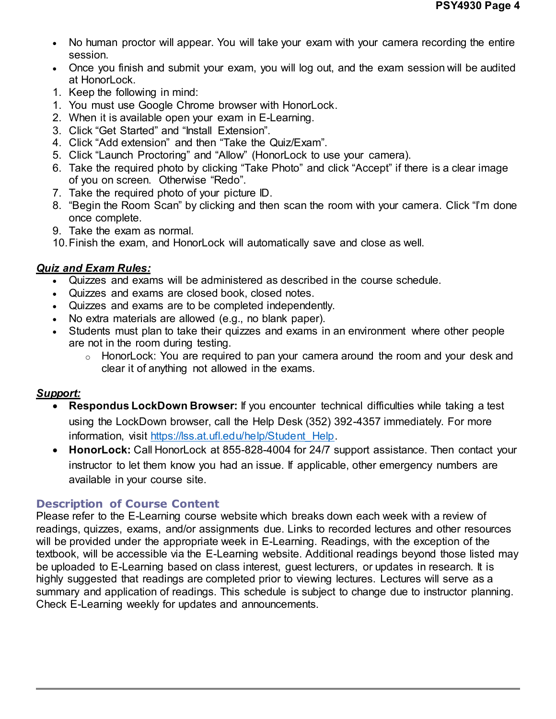- No human proctor will appear. You will take your exam with your camera recording the entire session.
- Once you finish and submit your exam, you will log out, and the exam session will be audited at HonorLock.
- 1. Keep the following in mind:
- 1. You must use Google Chrome browser with HonorLock.
- 2. When it is available open your exam in E-Learning.
- 3. Click "Get Started" and "Install Extension".
- 4. Click "Add extension" and then "Take the Quiz/Exam".
- 5. Click "Launch Proctoring" and "Allow" (HonorLock to use your camera).
- 6. Take the required photo by clicking "Take Photo" and click "Accept" if there is a clear image of you on screen. Otherwise "Redo".
- 7. Take the required photo of your picture ID.
- 8. "Begin the Room Scan" by clicking and then scan the room with your camera. Click "I'm done once complete.
- 9. Take the exam as normal.
- 10.Finish the exam, and HonorLock will automatically save and close as well.

# *Quiz and Exam Rules:*

- Quizzes and exams will be administered as described in the course schedule.
- Quizzes and exams are closed book, closed notes.
- Quizzes and exams are to be completed independently.
- No extra materials are allowed (e.g., no blank paper).
- Students must plan to take their quizzes and exams in an environment where other people are not in the room during testing.
	- o HonorLock: You are required to pan your camera around the room and your desk and clear it of anything not allowed in the exams.

# *Support:*

- **Respondus LockDown Browser:** If you encounter technical difficulties while taking a test using the LockDown browser, call the Help Desk (352) 392-4357 immediately. For more information, visit https://lss.at.ufl.edu/help/Student\_Help.
- **HonorLock:** Call HonorLock at 855-828-4004 for 24/7 support assistance. Then contact your instructor to let them know you had an issue. If applicable, other emergency numbers are available in your course site.

# **Description of Course Content**

Please refer to the E-Learning course website which breaks down each week with a review of readings, quizzes, exams, and/or assignments due. Links to recorded lectures and other resources will be provided under the appropriate week in E-Learning. Readings, with the exception of the textbook, will be accessible via the E-Learning website. Additional readings beyond those listed may be uploaded to E-Learning based on class interest, guest lecturers, or updates in research. It is highly suggested that readings are completed prior to viewing lectures. Lectures will serve as a summary and application of readings. This schedule is subject to change due to instructor planning. Check E-Learning weekly for updates and announcements.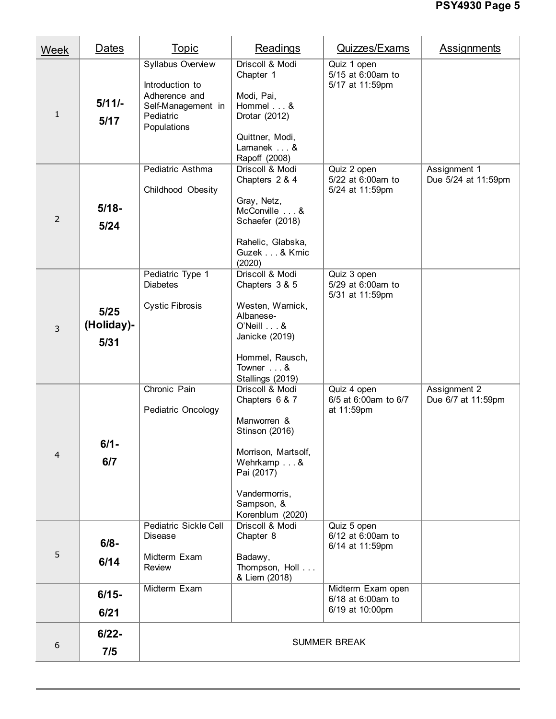| Week           | Dates                                                                                                                                                                                                                                                                                                                             | <b>Topic</b>                                                      | Readings                                                                                                                                                                 | Quizzes/Exams                                             | Assignments                         |  |  |  |  |  |  |  |
|----------------|-----------------------------------------------------------------------------------------------------------------------------------------------------------------------------------------------------------------------------------------------------------------------------------------------------------------------------------|-------------------------------------------------------------------|--------------------------------------------------------------------------------------------------------------------------------------------------------------------------|-----------------------------------------------------------|-------------------------------------|--|--|--|--|--|--|--|
| 1              | Syllabus Overview<br>Introduction to<br>Adherence and<br>$5/11/-$<br>Self-Management in<br>Pediatric<br>5/17<br>Populations<br>Pediatric Asthma<br>Childhood Obesity<br>$5/18 -$<br>$5/24$<br>Pediatric Type 1<br><b>Diabetes</b><br><b>Cystic Fibrosis</b><br>$5/25$<br>(Holiday)-<br>5/31<br>Chronic Pain<br>Pediatric Oncology |                                                                   | Driscoll & Modi<br>Chapter 1<br>Modi, Pai,<br>Hommel &<br>Drotar (2012)<br>Quittner, Modi,<br>Lamanek  &<br>Rapoff (2008)                                                | Quiz 1 open<br>5/15 at 6:00am to<br>5/17 at 11:59pm       |                                     |  |  |  |  |  |  |  |
| $\overline{2}$ |                                                                                                                                                                                                                                                                                                                                   |                                                                   | Driscoll & Modi<br>Chapters 2 & 4<br>Gray, Netz,<br>McConville &<br>Schaefer (2018)<br>Rahelic, Glabska,<br>Guzek & Krnic<br>(2020)                                      | Quiz 2 open<br>5/22 at 6:00am to<br>5/24 at 11:59pm       | Assignment 1<br>Due 5/24 at 11:59pm |  |  |  |  |  |  |  |
| 3              |                                                                                                                                                                                                                                                                                                                                   |                                                                   | Driscoll & Modi<br>Chapters 3 & 5<br>Westen, Warnick,<br>Albanese-<br>$O'$ Neill $\ldots$ &<br>Janicke (2019)<br>Hommel, Rausch,<br>Towner &<br>Stallings (2019)         | Quiz 3 open<br>5/29 at 6:00am to<br>5/31 at 11:59pm       |                                     |  |  |  |  |  |  |  |
| 4              | $6/1 -$<br>6/7                                                                                                                                                                                                                                                                                                                    |                                                                   | Driscoll & Modi<br>Chapters 6 & 7<br>Manworren &<br>Stinson (2016)<br>Morrison, Martsolf,<br>Wehrkamp &<br>Pai (2017)<br>Vandermorris,<br>Sampson, &<br>Korenblum (2020) | Quiz 4 open<br>6/5 at 6:00am to 6/7<br>at 11:59pm         | Assignment 2<br>Due 6/7 at 11:59pm  |  |  |  |  |  |  |  |
| 5              | $6/8 -$<br>6/14                                                                                                                                                                                                                                                                                                                   | Pediatric Sickle Cell<br><b>Disease</b><br>Midterm Exam<br>Review | Driscoll & Modi<br>Chapter 8<br>Badawy,<br>Thompson, Holl<br>& Liem (2018)                                                                                               | Quiz 5 open<br>6/12 at 6:00am to<br>6/14 at 11:59pm       |                                     |  |  |  |  |  |  |  |
|                | $6/15 -$<br>6/21                                                                                                                                                                                                                                                                                                                  | Midterm Exam                                                      |                                                                                                                                                                          | Midterm Exam open<br>6/18 at 6:00am to<br>6/19 at 10:00pm |                                     |  |  |  |  |  |  |  |
| 6              | $6/22 -$<br>7/5                                                                                                                                                                                                                                                                                                                   |                                                                   | <b>SUMMER BREAK</b>                                                                                                                                                      |                                                           |                                     |  |  |  |  |  |  |  |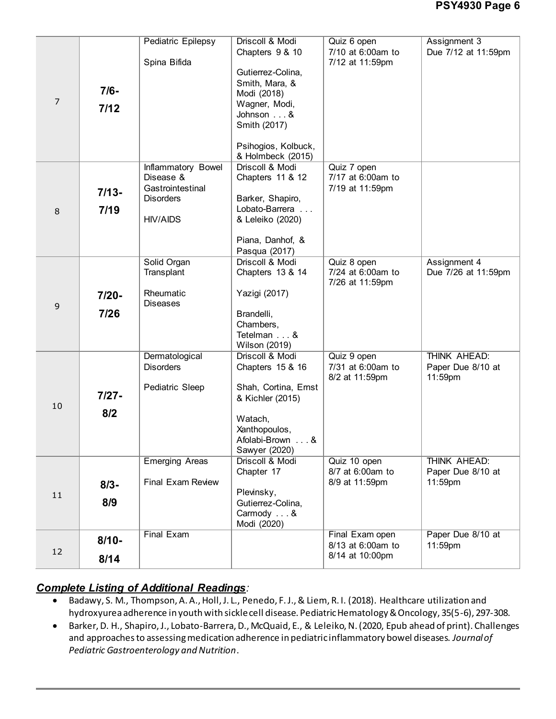|             |          | <b>Pediatric Epilepsy</b> | Driscoll & Modi      | Quiz 6 open       | Assignment 3        |
|-------------|----------|---------------------------|----------------------|-------------------|---------------------|
|             |          |                           | Chapters 9 & 10      | 7/10 at 6:00am to | Due 7/12 at 11:59pm |
|             |          | Spina Bifida              |                      | 7/12 at 11:59pm   |                     |
|             |          |                           | Gutierrez-Colina,    |                   |                     |
|             |          |                           | Smith, Mara, &       |                   |                     |
|             | $7/6-$   |                           | Modi (2018)          |                   |                     |
| 7           |          |                           | Wagner, Modi,        |                   |                     |
|             | 7/12     |                           |                      |                   |                     |
|             |          |                           | Johnson &            |                   |                     |
|             |          |                           | Smith (2017)         |                   |                     |
|             |          |                           |                      |                   |                     |
|             |          |                           | Psihogios, Kolbuck,  |                   |                     |
|             |          |                           | & Holmbeck (2015)    |                   |                     |
|             |          | Inflammatory Bowel        | Driscoll & Modi      | Quiz 7 open       |                     |
|             |          | Disease &                 | Chapters 11 & 12     | 7/17 at 6:00am to |                     |
|             |          | Gastrointestinal          |                      | 7/19 at 11:59pm   |                     |
|             | $7/13-$  |                           |                      |                   |                     |
|             |          | <b>Disorders</b>          | Barker, Shapiro,     |                   |                     |
| $\,8\,$     | 7/19     |                           | Lobato-Barrera       |                   |                     |
|             |          | <b>HIV/AIDS</b>           | & Leleiko (2020)     |                   |                     |
|             |          |                           |                      |                   |                     |
|             |          |                           | Piana, Danhof, &     |                   |                     |
|             |          |                           | Pasqua (2017)        |                   |                     |
|             |          | Solid Organ               | Driscoll & Modi      | Quiz 8 open       | Assignment 4        |
|             |          | Transplant                | Chapters 13 & 14     | 7/24 at 6:00am to | Due 7/26 at 11:59pm |
|             |          |                           |                      | 7/26 at 11:59pm   |                     |
|             | $7/20 -$ | Rheumatic                 | Yazigi (2017)        |                   |                     |
|             |          | <b>Diseases</b>           |                      |                   |                     |
| $\mathsf 9$ | 7/26     |                           | Brandelli,           |                   |                     |
|             |          |                           |                      |                   |                     |
|             |          |                           | Chambers,            |                   |                     |
|             |          |                           | Tetelman &           |                   |                     |
|             |          |                           | Wilson (2019)        |                   |                     |
|             |          | Dermatological            | Driscoll & Modi      | Quiz 9 open       | THINK AHEAD:        |
|             |          | <b>Disorders</b>          | Chapters 15 & 16     | 7/31 at 6:00am to | Paper Due 8/10 at   |
|             |          |                           |                      | 8/2 at 11:59pm    | 11:59pm             |
|             |          | Pediatric Sleep           | Shah, Cortina, Ernst |                   |                     |
|             | $7/27 -$ |                           | & Kichler (2015)     |                   |                     |
| 10          | 8/2      |                           |                      |                   |                     |
|             |          |                           | Watach,              |                   |                     |
|             |          |                           | Xanthopoulos,        |                   |                     |
|             |          |                           | Afolabi-Brown<br>&   |                   |                     |
|             |          |                           | Sawyer (2020)        |                   |                     |
|             |          | <b>Emerging Areas</b>     | Driscoll & Modi      | Quiz 10 open      | THINK AHEAD:        |
|             |          |                           | Chapter 17           | 8/7 at 6:00am to  | Paper Due 8/10 at   |
|             |          |                           |                      |                   |                     |
| 11          | $8/3 -$  | <b>Final Exam Review</b>  |                      | 8/9 at 11:59pm    | 11:59pm             |
|             |          |                           | Plevinsky,           |                   |                     |
|             | 8/9      |                           | Gutierrez-Colina,    |                   |                     |
|             |          |                           | Carmody  &           |                   |                     |
|             |          |                           | Modi (2020)          |                   |                     |
|             |          | <b>Final Exam</b>         |                      | Final Exam open   | Paper Due 8/10 at   |
|             | $8/10 -$ |                           |                      | 8/13 at 6:00am to | 11:59pm             |
| 12          | 8/14     |                           |                      | 8/14 at 10:00pm   |                     |
|             |          |                           |                      |                   |                     |

# *Complete Listing of Additional Readings:*

- x Badawy, S. M., Thompson, A. A., Holl, J. L., Penedo, F. J., & Liem, R. I. (2018). Healthcare utilization and hydroxyurea adherence in youth with sickle cell disease. Pediatric Hematology & Oncology, 35(5-6), 297-308.
- x Barker, D. H., Shapiro, J., Lobato-Barrera, D., McQuaid, E., & Leleiko, N. (2020, Epub ahead of print). Challenges and approaches to assessing medication adherence in pediatric inflammatory bowel diseases. *Journal of Pediatric Gastroenterology and Nutrition*.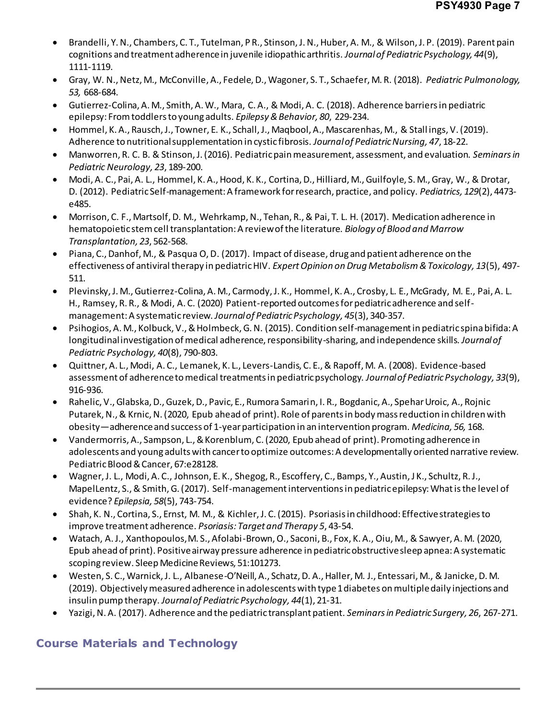- x Brandelli, Y. N., Chambers, C. T., Tutelman, P R., Stinson, J. N., Huber, A. M., & Wilson, J. P. (2019). Parent pain cognitions and treatment adherence in juvenile idiopathic arthritis. *Journal of Pediatric Psychology, 44*(9), 1111-1119.
- x Gray, W. N., Netz, M., McConville, A., Fedele, D., Wagoner, S. T., Schaefer, M. R. (2018). *Pediatric Pulmonology, 53,* 668-684.
- x Gutierrez-Colina, A. M., Smith, A. W., Mara, C. A., & Modi, A. C. (2018). Adherence barriers in pediatric epilepsy: From toddlers to young adults. *Epilepsy & Behavior, 80*, 229-234.
- x Hommel, K. A., Rausch, J., Towner, E. K., Schall, J., Maqbool, A., Mascarenhas, M., & Stall ings, V. (2019). Adherence to nutritional supplementation in cystic fibrosis. *Journal of Pediatric Nursing, 47*, 18-22.
- x Manworren, R. C. B. & Stinson, J. (2016). Pediatric pain measurement, assessment, and evaluation. *Seminars in Pediatric Neurology, 23*, 189-200.
- x Modi, A. C., Pai, A. L., Hommel, K. A., Hood, K. K., Cortina, D., Hilliard, M., Guilfoyle, S. M., Gray, W., & Drotar, D. (2012). Pediatric Self-management: A framework for research, practice, and policy. *Pediatrics, 129*(2), 4473 e485.
- Morrison, C. F., Martsolf, D. M., Wehrkamp, N., Tehan, R., & Pai, T. L. H. (2017). Medication adherence in hematopoietic stem cell transplantation: A review of the literature. *Biology of Blood and Marrow Transplantation, 23*, 562-568.
- Piana, C., Danhof, M., & Pasqua O, D. (2017). Impact of disease, drug and patient adherence on the effectiveness of antiviral therapy in pediatric HIV. *Expert Opinion on Drug Metabolism & Toxicology, 13*(5), 497- 511.
- x Plevinsky, J. M., Gutierrez-Colina, A. M., Carmody, J. K., Hommel, K. A., Crosby, L. E., McGrady, M. E., Pai, A. L. H., Ramsey, R. R., & Modi, A. C. (2020) Patient-reported outcomes for pediatric adherence and selfmanagement: A systematic review. *Journal of Pediatric Psychology, 45*(3), 340-357.
- x Psihogios, A. M., Kolbuck, V., & Holmbeck, G. N. (2015). Condition self-management in pediatric spina bifida: A longitudinal investigation of medical adherence, responsibility-sharing, and independence skills. *Journal of Pediatric Psychology, 40*(8), 790-803.
- Quittner, A. L., Modi, A. C., Lemanek, K. L., Levers-Landis, C. E., & Rapoff, M. A. (2008). Evidence-based assessment of adherence to medical treatments in pediatric psychology. *Journal of Pediatric Psychology, 33*(9), 916-936.
- x Rahelic, V., Glabska, D., Guzek, D., Pavic, E., Rumora Samarin, I. R., Bogdanic, A., Spehar Uroic, A., Rojnic Putarek, N., & Krnic, N. (2020, Epub ahead of print). Role of parents in body mass reduction in children with obesity—adherence and success of 1-year participation in an intervention program. *Medicina, 56,* 168.
- Vandermorris, A., Sampson, L., & Korenblum, C. (2020, Epub ahead of print). Promoting adherence in adolescents and young adults with cancer to optimize outcomes: A developmentally oriented narrative review. Pediatric Blood & Cancer, 67:e28128.
- x Wagner,J. L., Modi, A. C., Johnson, E. K., Shegog, R., Escoffery, C., Bamps, Y., Austin, J K., Schultz, R. J., MapelLentz, S., & Smith, G. (2017). Self-management interventions in pediatric epilepsy: What is the level of evidence? *Epilepsia, 58*(5), 743-754.
- x Shah, K. N., Cortina, S., Ernst, M. M., & Kichler, J. C. (2015). Psoriasis in childhood: Effective strategies to improve treatment adherence. *Psoriasis: Target and Therapy 5*, 43-54.
- x Watach, A. J., Xanthopoulos, M. S., Afolabi-Brown, O., Saconi, B., Fox, K. A., Oiu, M., & Sawyer, A. M. (2020, Epub ahead of print). Positive airway pressure adherence in pediatric obstructive sleep apnea: A systematic scoping review. Sleep Medicine Reviews, 51:101273.
- x Westen, S. C., Warnick, J. L., Albanese-O'Neill, A., Schatz, D. A., Haller, M. J., Entessari, M., & Janicke, D. M. (2019). Objectively measured adherence in adolescents with type 1 diabetes on multiple daily injections and insulin pump therapy. *Journal of Pediatric Psychology, 44*(1), 21-31.
- x Yazigi, N. A. (2017). Adherence and the pediatric transplant patient. *Seminars in Pediatric Surgery, 26*, 267-271.

# **Course Materials and Technology**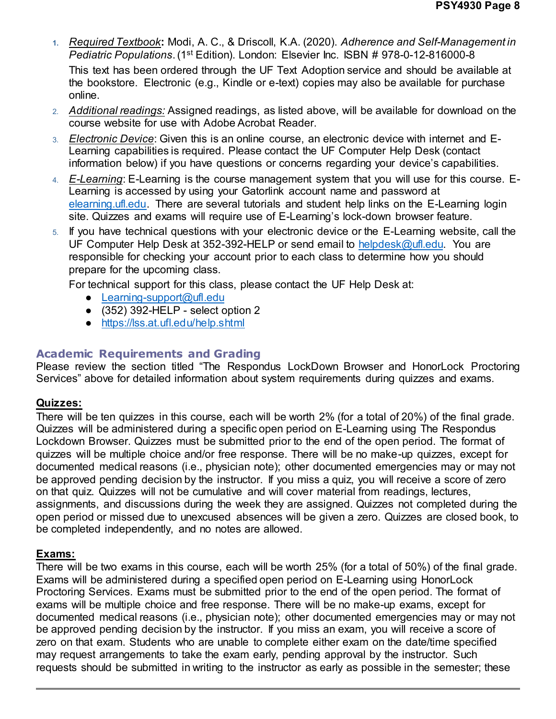**1.** *Required Textbook***:** Modi, A. C., & Driscoll, K.A. (2020). *Adherence and Self-Management in Pediatric Populations*. (1st Edition). London: Elsevier Inc. ISBN # 978-0-12-816000-8

This text has been ordered through the UF Text Adoption service and should be available at the bookstore. Electronic (e.g., Kindle or e-text) copies may also be available for purchase online.

- 2. *Additional readings:* Assigned readings, as listed above, will be available for download on the course website for use with Adobe Acrobat Reader.
- 3. *Electronic Device*: Given this is an online course, an electronic device with internet and E-Learning capabilities is required. Please contact the UF Computer Help Desk (contact information below) if you have questions or concerns regarding your device's capabilities.
- 4. *E-Learning*: E-Learning is the course management system that you will use for this course. E-Learning is accessed by using your Gatorlink account name and password at elearning.ufl.edu. There are several tutorials and student help links on the E-Learning login site. Quizzes and exams will require use of E-Learning's lock-down browser feature.
- 5. If you have technical questions with your electronic device or the E-Learning website, call the UF Computer Help Desk at 352-392-HELP or send email to helpdesk@ufl.edu. You are responsible for checking your account prior to each class to determine how you should prepare for the upcoming class.

For technical support for this class, please contact the UF Help Desk at:

- Learning-support@ufl.edu
- $\bullet$  (352) 392-HELP select option 2
- https://lss.at.ufl.edu/help.shtml

# **Academic Requirements and Grading**

Please review the section titled "The Respondus LockDown Browser and HonorLock Proctoring Services" above for detailed information about system requirements during quizzes and exams.

## **Quizzes:**

There will be ten quizzes in this course, each will be worth 2% (for a total of 20%) of the final grade. Quizzes will be administered during a specific open period on E-Learning using The Respondus Lockdown Browser. Quizzes must be submitted prior to the end of the open period. The format of quizzes will be multiple choice and/or free response. There will be no make-up quizzes, except for documented medical reasons (i.e., physician note); other documented emergencies may or may not be approved pending decision by the instructor. If you miss a quiz, you will receive a score of zero on that quiz. Quizzes will not be cumulative and will cover material from readings, lectures, assignments, and discussions during the week they are assigned. Quizzes not completed during the open period or missed due to unexcused absences will be given a zero. Quizzes are closed book, to be completed independently, and no notes are allowed.

# **Exams:**

There will be two exams in this course, each will be worth 25% (for a total of 50%) of the final grade. Exams will be administered during a specified open period on E-Learning using HonorLock Proctoring Services. Exams must be submitted prior to the end of the open period. The format of exams will be multiple choice and free response. There will be no make-up exams, except for documented medical reasons (i.e., physician note); other documented emergencies may or may not be approved pending decision by the instructor. If you miss an exam, you will receive a score of zero on that exam. Students who are unable to complete either exam on the date/time specified may request arrangements to take the exam early, pending approval by the instructor. Such requests should be submitted in writing to the instructor as early as possible in the semester; these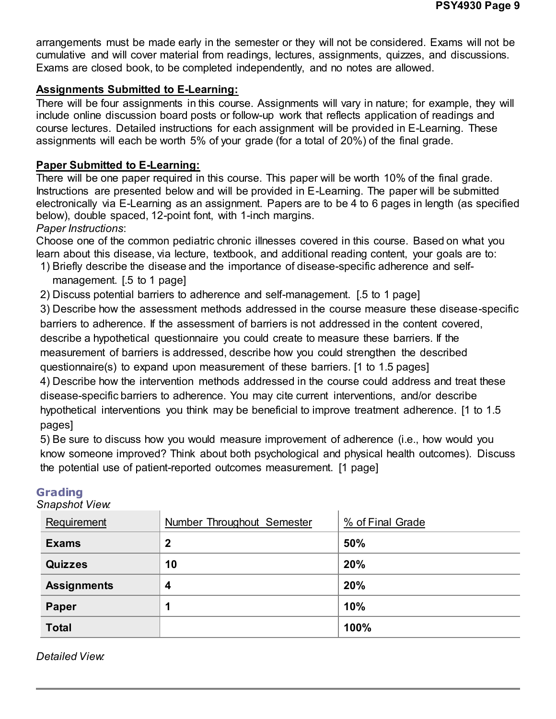arrangements must be made early in the semester or they will not be considered. Exams will not be cumulative and will cover material from readings, lectures, assignments, quizzes, and discussions. Exams are closed book, to be completed independently, and no notes are allowed.

## **Assignments Submitted to E-Learning:**

There will be four assignments in this course. Assignments will vary in nature; for example, they will include online discussion board posts or follow-up work that reflects application of readings and course lectures. Detailed instructions for each assignment will be provided in E-Learning. These assignments will each be worth 5% of your grade (for a total of 20%) of the final grade.

## **Paper Submitted to E-Learning:**

There will be one paper required in this course. This paper will be worth 10% of the final grade. Instructions are presented below and will be provided in E-Learning. The paper will be submitted electronically via E-Learning as an assignment. Papers are to be 4 to 6 pages in length (as specified below), double spaced, 12-point font, with 1-inch margins.

## *Paper Instructions*:

Choose one of the common pediatric chronic illnesses covered in this course. Based on what you learn about this disease, via lecture, textbook, and additional reading content, your goals are to: 1) Briefly describe the disease and the importance of disease-specific adherence and self-

- management. [.5 to 1 page]
- 2) Discuss potential barriers to adherence and self-management. [.5 to 1 page]

3) Describe how the assessment methods addressed in the course measure these disease-specific barriers to adherence. If the assessment of barriers is not addressed in the content covered, describe a hypothetical questionnaire you could create to measure these barriers. If the measurement of barriers is addressed, describe how you could strengthen the described questionnaire(s) to expand upon measurement of these barriers. [1 to 1.5 pages]

4) Describe how the intervention methods addressed in the course could address and treat these disease-specific barriers to adherence. You may cite current interventions, and/or describe hypothetical interventions you think may be beneficial to improve treatment adherence. [1 to 1.5 pages]

5) Be sure to discuss how you would measure improvement of adherence (i.e., how would you know someone improved? Think about both psychological and physical health outcomes). Discuss the potential use of patient-reported outcomes measurement. [1 page]

| Snapsnot view.     |                            |                  |
|--------------------|----------------------------|------------------|
| Requirement        | Number Throughout Semester | % of Final Grade |
| <b>Exams</b>       | $\mathbf 2$                | 50%              |
| <b>Quizzes</b>     | 10                         | 20%              |
| <b>Assignments</b> | $\overline{\mathbf{4}}$    | 20%              |
| <b>Paper</b>       | 1                          | 10%              |
| <b>Total</b>       |                            | 100%             |

# **Grading**

*Snapshot View:*

*Detailed View:*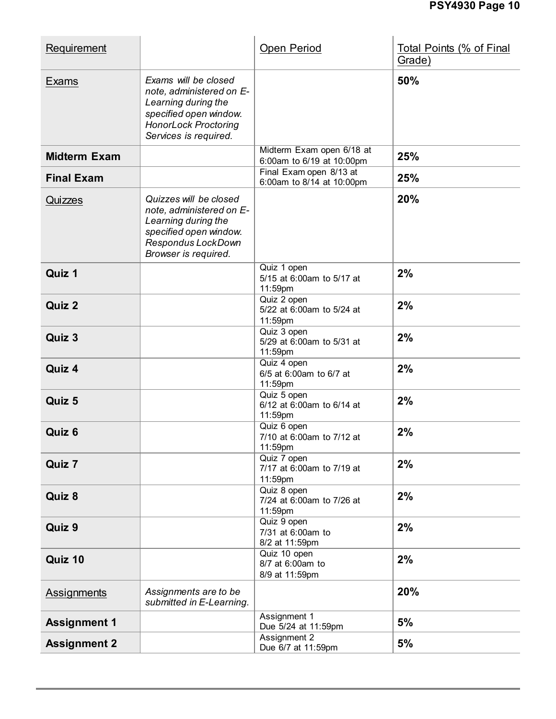| Requirement         |                                                                                                                                                           | Open Period                                            | <b>Total Points (% of Final</b><br>Grade) |
|---------------------|-----------------------------------------------------------------------------------------------------------------------------------------------------------|--------------------------------------------------------|-------------------------------------------|
| Exams               | Exams will be closed<br>note, administered on E-<br>Learning during the<br>specified open window.<br><b>HonorLock Proctoring</b><br>Services is required. |                                                        | 50%                                       |
| <b>Midterm Exam</b> |                                                                                                                                                           | Midterm Exam open 6/18 at<br>6:00am to 6/19 at 10:00pm | 25%                                       |
| <b>Final Exam</b>   |                                                                                                                                                           | Final Exam open 8/13 at<br>6:00am to 8/14 at 10:00pm   | 25%                                       |
| Quizzes             | Quizzes will be closed<br>note, administered on E-<br>Learning during the<br>specified open window.<br>Respondus LockDown<br>Browser is required.         |                                                        | 20%                                       |
| Quiz 1              |                                                                                                                                                           | Quiz 1 open<br>5/15 at 6:00am to 5/17 at<br>11:59pm    | 2%                                        |
| Quiz 2              |                                                                                                                                                           | Quiz 2 open<br>5/22 at 6:00am to 5/24 at<br>11:59pm    | 2%                                        |
| Quiz 3              |                                                                                                                                                           | Quiz 3 open<br>5/29 at 6:00am to 5/31 at<br>11:59pm    | 2%                                        |
| Quiz 4              |                                                                                                                                                           | Quiz 4 open<br>6/5 at 6:00am to 6/7 at<br>11:59pm      | 2%                                        |
| Quiz 5              |                                                                                                                                                           | Quiz 5 open<br>6/12 at 6:00am to 6/14 at<br>11:59pm    | 2%                                        |
| Quiz 6              |                                                                                                                                                           | Quiz 6 open<br>7/10 at 6:00am to 7/12 at<br>11:59pm    | 2%                                        |
| Quiz 7              |                                                                                                                                                           | Quiz 7 open<br>7/17 at 6:00am to 7/19 at<br>11:59pm    | 2%                                        |
| Quiz 8              |                                                                                                                                                           | Quiz 8 open<br>7/24 at 6:00am to 7/26 at<br>11:59pm    | 2%                                        |
| Quiz 9              |                                                                                                                                                           | Quiz 9 open<br>7/31 at 6:00am to<br>8/2 at 11:59pm     | 2%                                        |
| Quiz 10             |                                                                                                                                                           | Quiz 10 open<br>8/7 at 6:00am to<br>8/9 at 11:59pm     | 2%                                        |
| <b>Assignments</b>  | Assignments are to be<br>submitted in E-Learning.                                                                                                         |                                                        | 20%                                       |
| <b>Assignment 1</b> |                                                                                                                                                           | Assignment 1<br>Due 5/24 at 11:59pm                    | 5%                                        |
| <b>Assignment 2</b> |                                                                                                                                                           | Assignment 2<br>Due 6/7 at 11:59pm                     | 5%                                        |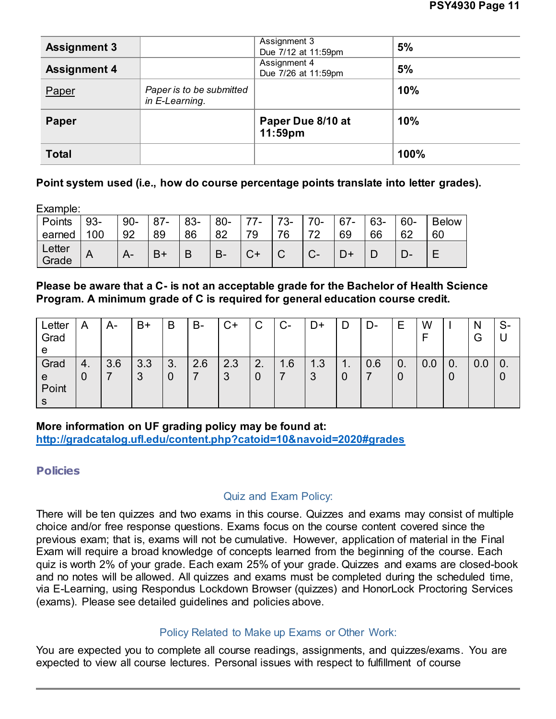| <b>Assignment 3</b> |                                            | Assignment 3<br>Due 7/12 at 11:59pm | 5%   |
|---------------------|--------------------------------------------|-------------------------------------|------|
| <b>Assignment 4</b> |                                            | Assignment 4<br>Due 7/26 at 11:59pm | 5%   |
| Paper               | Paper is to be submitted<br>in E-Learning. |                                     | 10%  |
| Paper               |                                            | Paper Due 8/10 at<br>$11:59$ pm     | 10%  |
| <b>Total</b>        |                                            |                                     | 100% |

### **Point system used (i.e., how do course percentage points translate into letter grades).**

Example:

| Points          | $93 -$ | $90 -$ | $87 -$ | 83- | $80-$ | 77. | 73- | $70-$ | 67- | 63- | 60- | <b>Below</b> |
|-----------------|--------|--------|--------|-----|-------|-----|-----|-------|-----|-----|-----|--------------|
| earned          | 100    | 92     | 89     | 86  | 82    | 70  | 76  | 72    | 69  | 66  | 62  | 60           |
| Letter<br>Grade |        |        | n.     | D   | $B -$ |     |     | U-    |     |     |     |              |

**Please be aware that a C- is not an acceptable grade for the Bachelor of Health Science Program. A minimum grade of C is required for general education course credit.**

| Letter<br>Grad<br>e          | A          | A-  | B+       | B       | B-  | C+       | C       | $C-$ | D+       | ע       | D-  | Е                            | W   |                               | N<br>G | S- |
|------------------------------|------------|-----|----------|---------|-----|----------|---------|------|----------|---------|-----|------------------------------|-----|-------------------------------|--------|----|
| Grad<br>e<br>Point<br>c<br>G | $-4.$<br>υ | 3.6 | 3.3<br>3 | 3.<br>ν | 2.6 | 2.3<br>3 | 2.<br>0 | 1.6  | 1.3<br>3 | п.<br>0 | 0.6 | $\overline{\mathbf{0}}$<br>0 | 0.0 | $\overline{\phantom{0}}$<br>υ | 0.0    | v  |

### **More information on UF grading policy may be found at:**

**http://gradcatalog.ufl.edu/content.php?catoid=10&navoid=2020#grades**

## **Policies**

## Quiz and Exam Policy:

There will be ten quizzes and two exams in this course. Quizzes and exams may consist of multiple choice and/or free response questions. Exams focus on the course content covered since the previous exam; that is, exams will not be cumulative. However, application of material in the Final Exam will require a broad knowledge of concepts learned from the beginning of the course. Each quiz is worth 2% of your grade. Each exam 25% of your grade. Quizzes and exams are closed-book and no notes will be allowed. All quizzes and exams must be completed during the scheduled time, via E-Learning, using Respondus Lockdown Browser (quizzes) and HonorLock Proctoring Services (exams). Please see detailed guidelines and policies above.

## Policy Related to Make up Exams or Other Work:

You are expected you to complete all course readings, assignments, and quizzes/exams. You are expected to view all course lectures. Personal issues with respect to fulfillment of course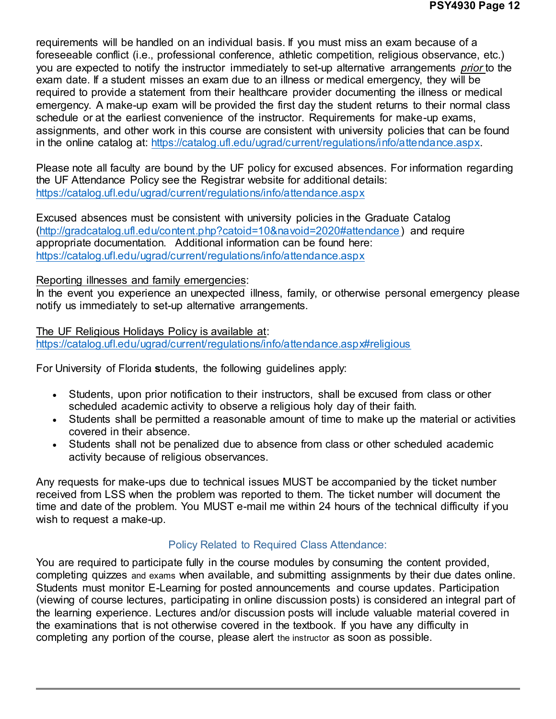requirements will be handled on an individual basis. If you must miss an exam because of a foreseeable conflict (i.e., professional conference, athletic competition, religious observance, etc.) you are expected to notify the instructor immediately to set-up alternative arrangements *prior* to the exam date. If a student misses an exam due to an illness or medical emergency, they will be required to provide a statement from their healthcare provider documenting the illness or medical emergency. A make-up exam will be provided the first day the student returns to their normal class schedule or at the earliest convenience of the instructor. Requirements for make-up exams, assignments, and other work in this course are consistent with university policies that can be found in the online catalog at: https://catalog.ufl.edu/ugrad/current/regulations/info/attendance.aspx.

Please note all faculty are bound by the UF policy for excused absences. For information regarding the UF Attendance Policy see the Registrar website for additional details: https://catalog.ufl.edu/ugrad/current/regulations/info/attendance.aspx

Excused absences must be consistent with university policies in the Graduate Catalog (http://gradcatalog.ufl.edu/content.php?catoid=10&navoid=2020#attendance) and require appropriate documentation. Additional information can be found here: https://catalog.ufl.edu/ugrad/current/regulations/info/attendance.aspx

#### Reporting illnesses and family emergencies:

In the event you experience an unexpected illness, family, or otherwise personal emergency please notify us immediately to set-up alternative arrangements.

The UF Religious Holidays Policy is available at: https://catalog.ufl.edu/ugrad/current/regulations/info/attendance.aspx#religious

For University of Florida **s**tudents, the following guidelines apply:

- Students, upon prior notification to their instructors, shall be excused from class or other scheduled academic activity to observe a religious holy day of their faith.
- Students shall be permitted a reasonable amount of time to make up the material or activities covered in their absence.
- Students shall not be penalized due to absence from class or other scheduled academic activity because of religious observances.

Any requests for make-ups due to technical issues MUST be accompanied by the ticket number received from LSS when the problem was reported to them. The ticket number will document the time and date of the problem. You MUST e-mail me within 24 hours of the technical difficulty if you wish to request a make-up.

### Policy Related to Required Class Attendance:

You are required to participate fully in the course modules by consuming the content provided, completing quizzes and exams when available, and submitting assignments by their due dates online. Students must monitor E-Learning for posted announcements and course updates. Participation (viewing of course lectures, participating in online discussion posts) is considered an integral part of the learning experience. Lectures and/or discussion posts will include valuable material covered in the examinations that is not otherwise covered in the textbook. If you have any difficulty in completing any portion of the course, please alert the instructor as soon as possible.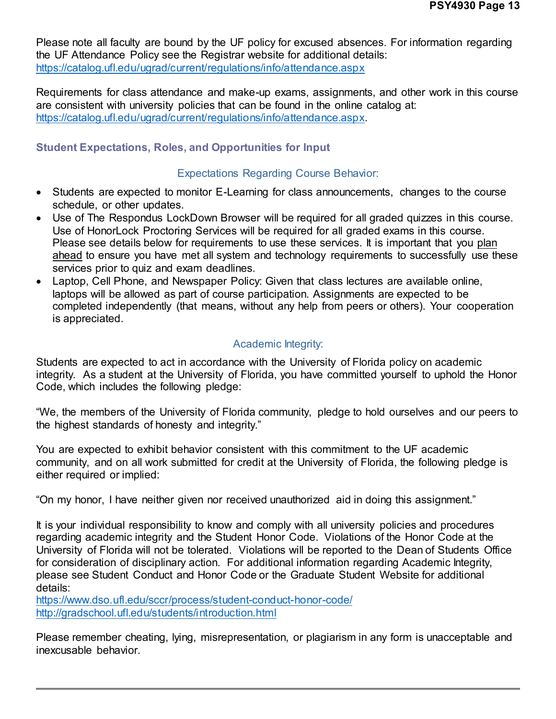Please note all faculty are bound by the UF policy for excused absences. For information regarding the UF Attendance Policy see the Registrar website for additional details: https://catalog.ufl.edu/ugrad/current/regulations/info/attendance.aspx

Requirements for class attendance and make-up exams, assignments, and other work in this course are consistent with university policies that can be found in the online catalog at: https://catalog.ufl.edu/ugrad/current/regulations/info/attendance.aspx.

## **Student Expectations, Roles, and Opportunities for Input**

### Expectations Regarding Course Behavior:

- Students are expected to monitor E-Learning for class announcements, changes to the course schedule, or other updates.
- Use of The Respondus LockDown Browser will be required for all graded quizzes in this course. Use of HonorLock Proctoring Services will be required for all graded exams in this course. Please see details below for requirements to use these services. It is important that you plan ahead to ensure you have met all system and technology requirements to successfully use these services prior to quiz and exam deadlines.
- Laptop, Cell Phone, and Newspaper Policy: Given that class lectures are available online, laptops will be allowed as part of course participation. Assignments are expected to be completed independently (that means, without any help from peers or others). Your cooperation is appreciated.

## Academic Integrity:

Students are expected to act in accordance with the University of Florida policy on academic integrity. As a student at the University of Florida, you have committed yourself to uphold the Honor Code, which includes the following pledge:

"We, the members of the University of Florida community, pledge to hold ourselves and our peers to the highest standards of honesty and integrity."

You are expected to exhibit behavior consistent with this commitment to the UF academic community, and on all work submitted for credit at the University of Florida, the following pledge is either required or implied:

"On my honor, I have neither given nor received unauthorized aid in doing this assignment."

It is your individual responsibility to know and comply with all university policies and procedures regarding academic integrity and the Student Honor Code. Violations of the Honor Code at the University of Florida will not be tolerated. Violations will be reported to the Dean of Students Office for consideration of disciplinary action. For additional information regarding Academic Integrity, please see Student Conduct and Honor Code or the Graduate Student Website for additional details:

https://www.dso.ufl.edu/sccr/process/student-conduct-honor-code/ http://gradschool.ufl.edu/students/introduction.html

Please remember cheating, lying, misrepresentation, or plagiarism in any form is unacceptable and inexcusable behavior.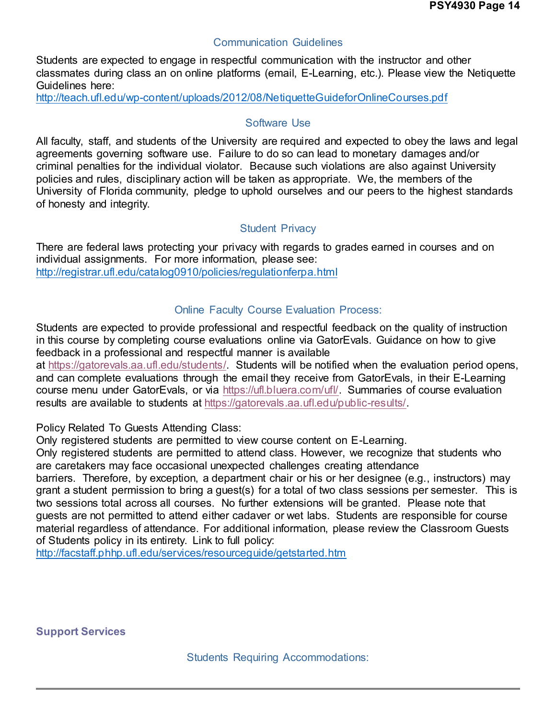### Communication Guidelines

Students are expected to engage in respectful communication with the instructor and other classmates during class an on online platforms (email, E-Learning, etc.). Please view the Netiquette Guidelines here:

http://teach.ufl.edu/wp-content/uploads/2012/08/NetiquetteGuideforOnlineCourses.pdf

### Software Use

All faculty, staff, and students of the University are required and expected to obey the laws and legal agreements governing software use. Failure to do so can lead to monetary damages and/or criminal penalties for the individual violator. Because such violations are also against University policies and rules, disciplinary action will be taken as appropriate. We, the members of the University of Florida community, pledge to uphold ourselves and our peers to the highest standards of honesty and integrity.

## Student Privacy

There are federal laws protecting your privacy with regards to grades earned in courses and on individual assignments. For more information, please see: http://registrar.ufl.edu/catalog0910/policies/regulationferpa.html

## Online Faculty Course Evaluation Process:

Students are expected to provide professional and respectful feedback on the quality of instruction in this course by completing course evaluations online via GatorEvals. Guidance on how to give feedback in a professional and respectful manner is available

at https://gatorevals.aa.ufl.edu/students/. Students will be notified when the evaluation period opens, and can complete evaluations through the email they receive from GatorEvals, in their E-Learning course menu under GatorEvals, or via https://ufl.bluera.com/ufl/. Summaries of course evaluation results are available to students at https://gatorevals.aa.ufl.edu/public-results/.

Policy Related To Guests Attending Class:

Only registered students are permitted to view course content on E-Learning.

Only registered students are permitted to attend class. However, we recognize that students who are caretakers may face occasional unexpected challenges creating attendance

barriers. Therefore, by exception, a department chair or his or her designee (e.g., instructors) may grant a student permission to bring a guest(s) for a total of two class sessions per semester. This is two sessions total across all courses. No further extensions will be granted. Please note that guests are not permitted to attend either cadaver or wet labs. Students are responsible for course material regardless of attendance. For additional information, please review the Classroom Guests of Students policy in its entirety. Link to full policy:

http://facstaff.phhp.ufl.edu/services/resourceguide/getstarted.htm

**Support Services**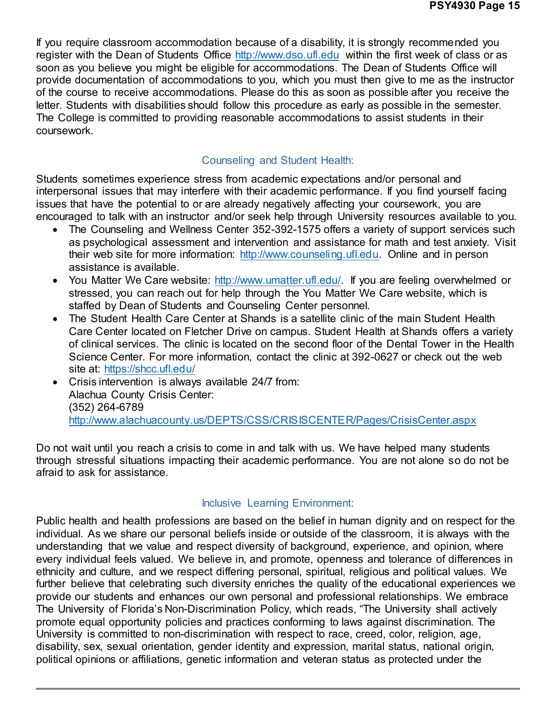If you require classroom accommodation because of a disability, it is strongly recommended you register with the Dean of Students Office http://www.dso.ufl.edu within the first week of class or as soon as you believe you might be eligible for accommodations. The Dean of Students Office will provide documentation of accommodations to you, which you must then give to me as the instructor of the course to receive accommodations. Please do this as soon as possible after you receive the letter. Students with disabilities should follow this procedure as early as possible in the semester. The College is committed to providing reasonable accommodations to assist students in their coursework.

### Counseling and Student Health:

Students sometimes experience stress from academic expectations and/or personal and interpersonal issues that may interfere with their academic performance. If you find yourself facing issues that have the potential to or are already negatively affecting your coursework, you are encouraged to talk with an instructor and/or seek help through University resources available to you.

- The Counseling and Wellness Center 352-392-1575 offers a variety of support services such as psychological assessment and intervention and assistance for math and test anxiety. Visit their web site for more information: http://www.counseling.ufl.edu. Online and in person assistance is available.
- You Matter We Care website: http://www.umatter.ufl.edu/. If you are feeling overwhelmed or stressed, you can reach out for help through the You Matter We Care website, which is staffed by Dean of Students and Counseling Center personnel.
- The Student Health Care Center at Shands is a satellite clinic of the main Student Health Care Center located on Fletcher Drive on campus. Student Health at Shands offers a variety of clinical services. The clinic is located on the second floor of the Dental Tower in the Health Science Center. For more information, contact the clinic at 392-0627 or check out the web site at: https://shcc.ufl.edu/
- Crisis intervention is always available 24/7 from: Alachua County Crisis Center: (352) 264-6789 http://www.alachuacounty.us/DEPTS/CSS/CRISISCENTER/Pages/CrisisCenter.aspx

Do not wait until you reach a crisis to come in and talk with us. We have helped many students through stressful situations impacting their academic performance. You are not alone so do not be afraid to ask for assistance.

### Inclusive Learning Environment:

Public health and health professions are based on the belief in human dignity and on respect for the individual. As we share our personal beliefs inside or outside of the classroom, it is always with the understanding that we value and respect diversity of background, experience, and opinion, where every individual feels valued. We believe in, and promote, openness and tolerance of differences in ethnicity and culture, and we respect differing personal, spiritual, religious and political values. We further believe that celebrating such diversity enriches the quality of the educational experiences we provide our students and enhances our own personal and professional relationships. We embrace The University of Florida's Non-Discrimination Policy, which reads, "The University shall actively promote equal opportunity policies and practices conforming to laws against discrimination. The University is committed to non-discrimination with respect to race, creed, color, religion, age, disability, sex, sexual orientation, gender identity and expression, marital status, national origin, political opinions or affiliations, genetic information and veteran status as protected under the